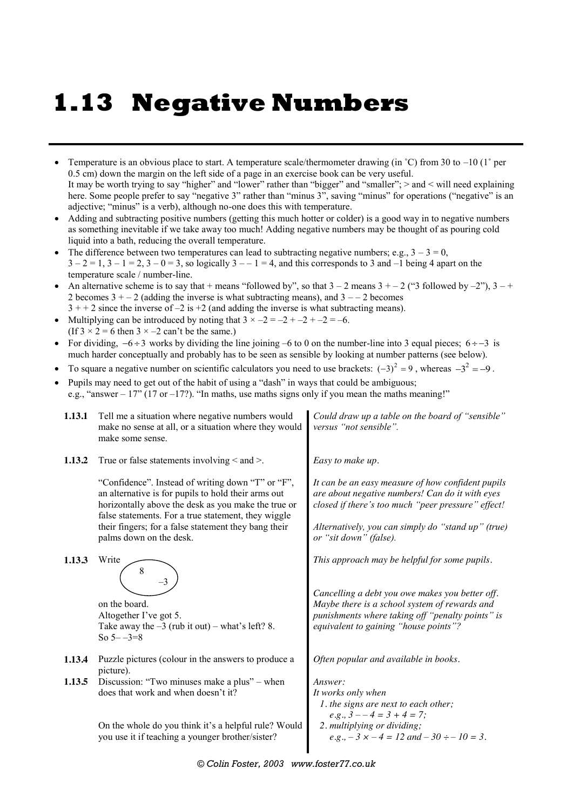# **1.13 Negative Numbers**

- Temperature is an obvious place to start. A temperature scale/thermometer drawing (in  $°C$ ) from 30 to  $-10$  (1 $\degree$  per 0.5 cm) down the margin on the left side of a page in an exercise book can be very useful. It may be worth trying to say "higher" and "lower" rather than "bigger" and "smaller"; > and < will need explaining here. Some people prefer to say "negative 3" rather than "minus 3", saving "minus" for operations ("negative" is an adjective; "minus" is a verb), although no-one does this with temperature.
- Adding and subtracting positive numbers (getting this much hotter or colder) is a good way in to negative numbers as something inevitable if we take away too much! Adding negative numbers may be thought of as pouring cold liquid into a bath, reducing the overall temperature.
- The difference between two temperatures can lead to subtracting negative numbers; e.g.,  $3 3 = 0$ ,  $3-2=1$ ,  $3-1=2$ ,  $3-0=3$ , so logically  $3=-1=4$ , and this corresponds to 3 and  $-1$  being 4 apart on the temperature scale / number-line.
- An alternative scheme is to say that + means "followed by", so that  $3 2$  means  $3 + -2$  ("3 followed by  $-2$ "),  $3 +$ 2 becomes  $3 + -2$  (adding the inverse is what subtracting means), and  $3 - -2$  becomes  $3 + 2$  since the inverse of  $-2$  is  $+2$  (and adding the inverse is what subtracting means).
- Multiplying can be introduced by noting that  $3 \times -2 = -2 + (-2) + (-2) = -6$ . (If  $3 \times 2 = 6$  then  $3 \times -2$  can't be the same.)
- For dividing,  $-6 \div 3$  works by dividing the line joining –6 to 0 on the number-line into 3 equal pieces;  $6 \div -3$  is much harder conceptually and probably has to be seen as sensible by looking at number patterns (see below).
- To square a negative number on scientific calculators you need to use brackets:  $(-3)^2 = 9$ , whereas  $-3^2 = -9$ .
- Pupils may need to get out of the habit of using a "dash" in ways that could be ambiguous;
- e.g., "answer  $17$ " ( $17$  or – $17$ ?). "In maths, use maths signs only if you mean the maths meaning!"
	- **1.13.1** Tell me a situation where negative numbers would make no sense at all, or a situation where they would make some sense.
- **1.13.2** True or false statements involving  $\le$  and  $\ge$ .

"Confidence". Instead of writing down "T" or "F", an alternative is for pupils to hold their arms out horizontally above the desk as you make the true or false statements. For a true statement, they wiggle their fingers; for a false statement they bang their palms down on the desk.

**1.13.3** Write



on the board. Altogether I've got 5. Take away the  $-3$  (rub it out) – what's left? 8. So  $5 - -3 = 8$ 

- **1.13.4** Puzzle pictures (colour in the answers to produce a picture).
- **1.13.5** Discussion: "Two minuses make a plus" when does that work and when doesn't it?

On the whole do you think it's a helpful rule? Would you use it if teaching a younger brother/sister?

*Could draw up a table on the board of "sensible" versus "not sensible".*

*Easy to make up.*

*It can be an easy measure of how confident pupils are about negative numbers! Can do it with eyes closed if there's too much "peer pressure" effect!*

*Alternatively, you can simply do "stand up" (true) or "sit down" (false).*

*This approach may be helpful for some pupils.*

*Cancelling a debt you owe makes you better off. Maybe there is a school system of rewards and punishments where taking off "penalty points" is equivalent to gaining "house points"?*

*Often popular and available in books.*

```
Answer:
It works only when
 1. the signs are next to each other;
    e.g., 3 - -4 = 3 + 4 = 7;
 2. multiplying or dividing;
    e.g., -3 \times -4 = 12 and -30 \div -10 = 3.
```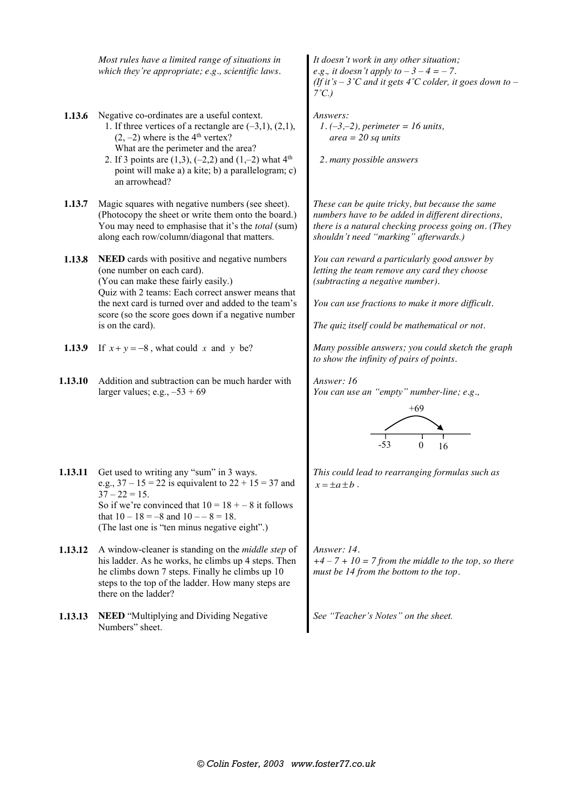*Most rules have a limited range of situations in which they're appropriate; e.g., scientific laws.*

- **1.13.6** Negative co-ordinates are a useful context.
	- 1. If three vertices of a rectangle are  $(-3,1)$ ,  $(2,1)$ ,  $(2, -2)$  where is the 4<sup>th</sup> vertex? What are the perimeter and the area?
	- 2. If 3 points are  $(1,3)$ ,  $(-2,2)$  and  $(1,-2)$  what  $4<sup>th</sup>$ point will make a) a kite; b) a parallelogram; c) an arrowhead?
- **1.13.7** Magic squares with negative numbers (see sheet). (Photocopy the sheet or write them onto the board.) You may need to emphasise that it's the *total* (sum) along each row/column/diagonal that matters.

**1.13.8 NEED** cards with positive and negative numbers (one number on each card). (You can make these fairly easily.) Quiz with 2 teams: Each correct answer means that the next card is turned over and added to the team's score (so the score goes down if a negative number is on the card).

- 
- **1.13.10** Addition and subtraction can be much harder with larger values; e.g.,  $-53 + 69$

*It doesn't work in any other situation; e.g., it doesn't apply to*  $-3 - 4 = -7$ *. (If it's – 3˚C and it gets 4˚C colder, it goes down to – 7˚C.)*

*Answers: 1. (–3,–2), perimeter = 16 units, area = 20 sq units*

*2. many possible answers*

*These can be quite tricky, but because the same numbers have to be added in different directions, there is a natural checking process going on. (They shouldn't need "marking" afterwards.)*

*You can reward a particularly good answer by letting the team remove any card they choose (subtracting a negative number).*

*You can use fractions to make it more difficult.*

*The quiz itself could be mathematical or not.*

**1.13.9** If  $x + y = -8$ , what could x and y be? *Many possible answers; you could sketch the graph to show the infinity of pairs of points.*

*Answer: 16 You can use an "empty" number-line; e.g.,*



**1.13.11** Get used to writing any "sum" in 3 ways. e.g.,  $37 - 15 = 22$  is equivalent to  $22 + 15 = 37$  and  $37 - 22 = 15$ . So if we're convinced that  $10 = 18 - 8$  it follows that  $10 - 18 = -8$  and  $10 - -8 = 18$ . (The last one is "ten minus negative eight".)

- **1.13.12** A window-cleaner is standing on the *middle step* of his ladder. As he works, he climbs up 4 steps. Then he climbs down 7 steps. Finally he climbs up 10 steps to the top of the ladder. How many steps are there on the ladder?
- **1.13.13 NEED** "Multiplying and Dividing Negative Numbers" sheet.

*This could lead to rearranging formulas such as*   $x = \pm a \pm b$ .

*Answer: 14.*  $+4 - 7 + 10 = 7$  from the middle to the top, so there *must be 14 from the bottom to the top.*

*See "Teacher's Notes" on the sheet.*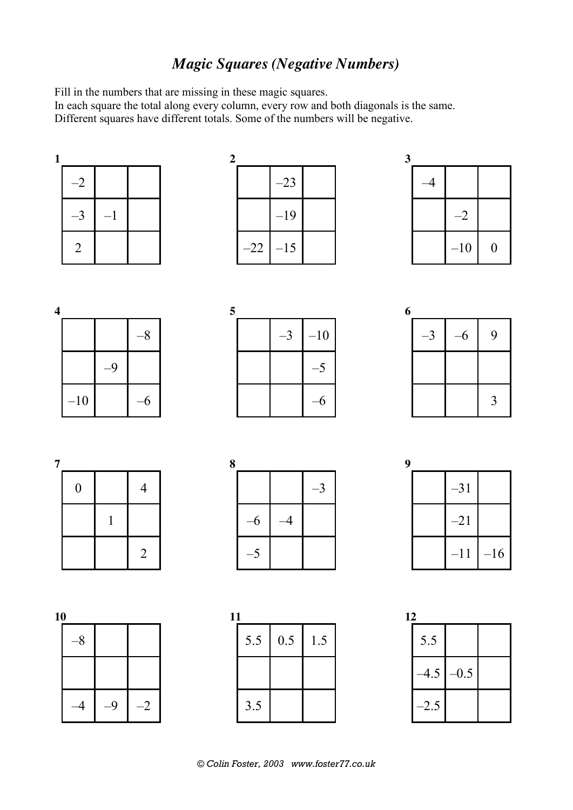## *Magic Squares (Negative Numbers)*

Fill in the numbers that are missing in these magic squares.

In the matter can be made the total along every column, every row and both diagonals is the same. Different squares have different totals. Some of the numbers will be negative.





| 5 |  |       |
|---|--|-------|
|   |  | $-10$ |
|   |  | 5     |
|   |  |       |









**9**  –31 –21  $-11$  –16

**11**  5.5 0.5 1.5 3.5

| 12 |        |        |  |
|----|--------|--------|--|
|    | 5.5    |        |  |
|    | $-4.5$ | $-0.5$ |  |
|    | $-2.5$ |        |  |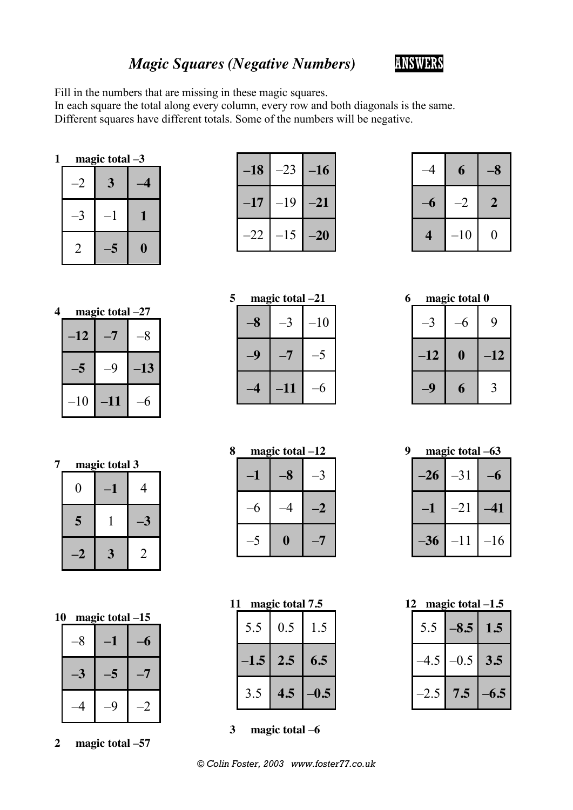## *Magic Squares (Negative Numbers)* ANSWERS



Fill in the numbers that are missing in these magic squares.

In each square the total along every column, every row and both diagonals is the same. Different squares have different totals. Some of the numbers will be negative.

|      | magic total -3 |   |
|------|----------------|---|
| $-2$ | 3              |   |
|      |                |   |
| 2    | 6              | O |

| $-18$ | $-23$ | $-16$ |
|-------|-------|-------|
| $-17$ | -19   | $-21$ |
| -22   | $-15$ | $-20$ |

|   | 6     | $\bullet$      |
|---|-------|----------------|
| б | -2    | $\overline{2}$ |
| 4 | $-10$ | $\rm 0$        |

| 4 |       | magic total $-27$ |       |  |
|---|-------|-------------------|-------|--|
|   | $-12$ |                   |       |  |
|   | 5     |                   | $-13$ |  |
|   | $-10$ | $-11$             |       |  |

| 5 |   | magic total -21 |       |
|---|---|-----------------|-------|
|   | 8 |                 | $-10$ |
|   |   |                 |       |
|   |   | $-11$           |       |

| 6 |       | magic total 0 |              |
|---|-------|---------------|--------------|
|   |       |               | 9            |
|   | $-12$ | $\mathbf 0$   | $-12$        |
|   |       | 6             | $\mathbf{3}$ |

|      | magic total 3<br>4<br>()<br>5 |   |
|------|-------------------------------|---|
|      |                               |   |
|      |                               |   |
| $-2$ | 3                             | 2 |

**10 magic total –15**

| $-8$ | $-1$ | $-6$ |
|------|------|------|
| -3   | -5   |      |
| $-4$ | -9   | -2   |

**2 magic total –57**

| 8 | magic total -12 |    |
|---|-----------------|----|
|   |                 |    |
|   |                 | -2 |
|   | 0               |    |

| 11 |        | magic total 7.5 |        |
|----|--------|-----------------|--------|
|    | 5.5    | 0.5             | 1.5    |
|    | $-1.5$ | 2.5             | 6.5    |
|    | 3.5    | 4.5             | $-0.5$ |

**3 magic total –6**

| q | magic total -63 |       |       |  |  |  |  |
|---|-----------------|-------|-------|--|--|--|--|
|   | $-26$           | $-31$ |       |  |  |  |  |
|   |                 | $-21$ | -41   |  |  |  |  |
|   | $-36$           | $-11$ | $-16$ |  |  |  |  |

| 12 | magic total $-1.5$ |        |        |  |  |  |  |  |
|----|--------------------|--------|--------|--|--|--|--|--|
|    | 5.5                | $-8.5$ | 1.5    |  |  |  |  |  |
|    | $-4.5$             | $-0.5$ | 3.5    |  |  |  |  |  |
|    | $-2.5$             | 7.5    | $-6.5$ |  |  |  |  |  |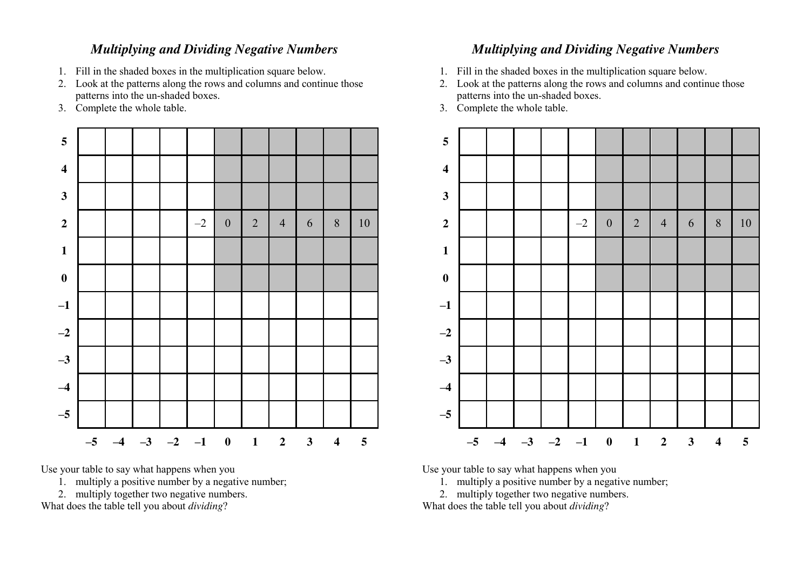#### *Multiplying and Dividing Negative Numbers*

- 1. Fill in the shaded boxes in the multiplication square below.
- 2. Look at the patterns along the rows and columns and continue those patterns into the un-shaded boxes.
- 3. Complete the whole table.



Use your table to say what happens when you

- 1. multiply a positive number by a negative number;
- 2. multiply together two negative numbers.

What does the table tell you about *dividing*?

### *Multiplying and Dividing Negative Numbers*

- 1. Fill in the shaded boxes in the multiplication square below.
- 2. Look at the patterns along the rows and columns and continue those patterns into the un-shaded boxes.
- 3. Complete the whole table.



Use your table to say what happens when you

- 1. multiply a positive number by a negative number;
- 2. multiply together two negative numbers.

What does the table tell you about *dividing*?